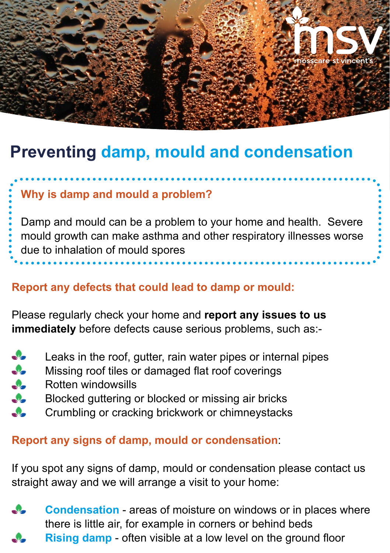

# **Preventing damp, mould and condensation**

## **Why is damp and mould a problem?**

Damp and mould can be a problem to your home and health. Severe mould growth can make asthma and other respiratory illnesses worse due to inhalation of mould spores

### **Report any defects that could lead to damp or mould:**

Please regularly check your home and **report any issues to us immediately** before defects cause serious problems, such as:-

- $\cdot$ Leaks in the roof, gutter, rain water pipes or internal pipes
- Missing roof tiles or damaged flat roof coverings<br>Rotten windowsills
- Rotten windowsills
- $\clubsuit$ Blocked guttering or blocked or missing air bricks
- Ω. Crumbling or cracking brickwork or chimneystacks

### **Report any signs of damp, mould or condensation**:

If you spot any signs of damp, mould or condensation please contact us straight away and we will arrange a visit to your home:

**Condensation** - areas of moisture on windows or in places where there is little air, for example in corners or behind beds **Rising damp** - often visible at a low level on the ground floor